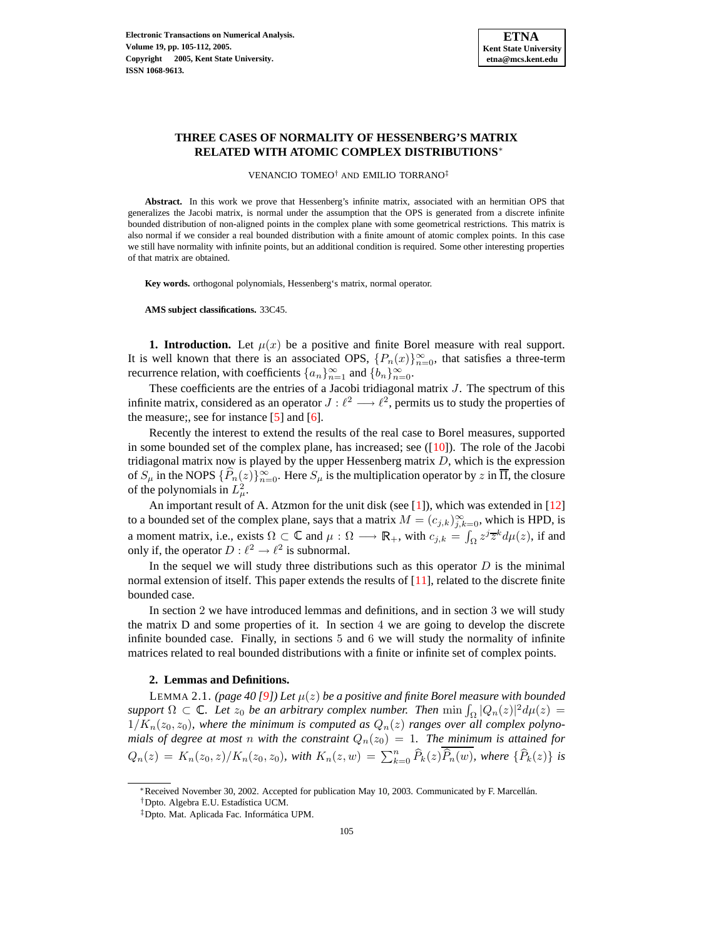## **THREE CASES OF NORMALITY OF HESSENBERG'S MATRIX RELATED WITH ATOMIC COMPLEX DISTRIBUTIONS**<sup>∗</sup>

VENANCIO TOMEO† AND EMILIO TORRANO‡

**Abstract.** In this work we prove that Hessenberg's infinite matrix, associated with an hermitian OPS that generalizes the Jacobi matrix, is normal under the assumption that the OPS is generated from a discrete infinite bounded distribution of non-aligned points in the complex plane with some geometrical restrictions. This matrix is also normal if we consider a real bounded distribution with a finite amount of atomic complex points. In this case we still have normality with infinite points, but an additional condition is required. Some other interesting properties of that matrix are obtained.

**Key words.** orthogonal polynomials, Hessenberg's matrix, normal operator.

**AMS subject classifications.** 33C45.

**1. Introduction.** Let  $\mu(x)$  be a positive and finite Borel measure with real support. It is well known that there is an associated OPS,  $\{P_n(x)\}_{n=0}^{\infty}$ , that satisfies a three-term recurrence relation, with coefficients  $\{a_n\}_{n=1}^{\infty}$  and  $\{b_n\}_{n=0}^{\infty}$ .

These coefficients are the entries of a Jacobi tridiagonal matrix  $J$ . The spectrum of this infinite matrix, considered as an operator  $J : \ell^2 \longrightarrow \ell^2$ , permits us to study the properties of the measure;, see for instance  $[5]$  and  $[6]$ .

Recently the interest to extend the results of the real case to Borel measures, supported in some bounded set of the complex plane, has increased; see  $([10])$  $([10])$  $([10])$ . The role of the Jacobi tridiagonal matrix now is played by the upper Hessenberg matrix  $D$ , which is the expression of  $S_{\mu}$  in the NOPS  $\{\widehat{P}_n(z)\}_{n=0}^{\infty}$ . Here  $S_{\mu}$  is the multiplication operator by z in  $\overline{\Pi}$ , the closure of the polynomials in  $L^2_\mu$ .

An important result of A. Atzmon for the unit disk (see  $[1]$ ), which was extended in  $[12]$ to a bounded set of the complex plane, says that a matrix  $M = (c_{j,k})_{j,k=0}^{\infty}$ , which is HPD, is a moment matrix, i.e., exists  $\Omega \subset \mathbb{C}$  and  $\mu : \Omega \longrightarrow \mathbb{R}_+$ , with  $c_{j,k} = \int_{\Omega} z^j \overline{z}^k d\mu(z)$ , if and only if, the operator  $D: \ell^2 \to \ell^2$  is subnormal.

In the sequel we will study three distributions such as this operator  $D$  is the minimal normal extension of itself. This paper extends the results of [\[11\]](#page-7-5), related to the discrete finite bounded case.

In section 2 we have introduced lemmas and definitions, and in section 3 we will study the matrix D and some properties of it. In section 4 we are going to develop the discrete infinite bounded case. Finally, in sections 5 and 6 we will study the normality of infinite matrices related to real bounded distributions with a finite or infinite set of complex points.

#### **2. Lemmas and Definitions.**

<span id="page-0-0"></span>LEMMA 2.1. *(page 40 [\[9\]](#page-7-6))* Let  $\mu(z)$  be a positive and finite Borel measure with bounded  $support \Omega \subset \mathbb{C}$ . Let  $z_0$  be an arbitrary complex number. Then  $\min \int_{\Omega} |Q_n(z)|^2 d\mu(z) =$  $1/K_n(z_0, z_0)$ , where the minimum is computed as  $Q_n(z)$  ranges over all complex polyno*mials* of degree at most *n* with the constraint  $Q_n(z_0) = 1$ . The minimum is attained for  $Q_n(z) = K_n(z_0, z)/K_n(z_0, z_0)$ *, with*  $K_n(z, w) = \sum_{k=0}^n \widehat{P}_k(z)\widehat{P}_n(w)$ *, where*  $\{\widehat{P}_k(z)\}$  *is* 

<sup>∗</sup>Received November 30, 2002. Accepted for publication May 10, 2003. Communicated by F. Marcellan. ´

<sup>&</sup>lt;sup>†</sup>Dpto. Algebra E.U. Estadística UCM.

 $<sup>‡</sup>$ Dpto. Mat. Aplicada Fac. Informática UPM.</sup>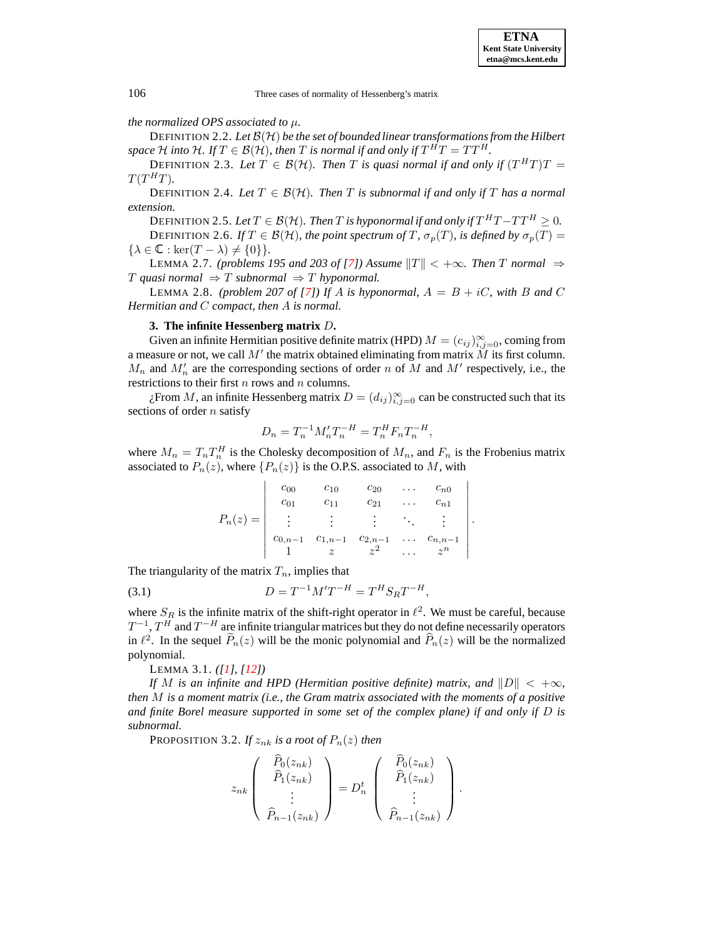106 Three cases of normality of Hessenberg's matrix

## *the normalized OPS associated to* µ*.*

DEFINITION 2.2. *Let* B(H) *be the set of bounded linear transformationsfrom the Hilbert space*  $H$  *into*  $H$ *. If*  $T \in \mathcal{B}(\mathcal{H})$ *, then*  $T$  *is normal if and only if*  $T^H T = TT^H$ *.* 

DEFINITION 2.3. Let  $T \in \mathcal{B}(\mathcal{H})$ . Then T is quasi normal if and only if  $(T^HT)T =$  $T(T^HT)$ .

DEFINITION 2.4. Let  $T \in \mathcal{B}(\mathcal{H})$ . Then T is subnormal if and only if T has a normal *extension.*

DEFINITION 2.5. Let  $T \in \mathcal{B}(\mathcal{H})$ . Then  $T$  is hyponormal if and only if  $T^HT-TT^H \geq 0$ . DEFINITION 2.6. *If*  $T \in \mathcal{B}(\mathcal{H})$ *, the point spectrum of*  $T$ *,*  $\sigma_p(T)$ *, is defined by*  $\sigma_p(T)$  $\{\lambda \in \mathbb{C} : \ker(T - \lambda) \neq \{0\}\}.$ 

LEMMA 2.7. *(problems 195 and 203 of [\[7\]](#page-7-7)) Assume*  $||T|| < +\infty$ *. Then T normal* ⇒  $T$  *quasi* normal  $\Rightarrow$  T subnormal  $\Rightarrow$  T hyponormal.

<span id="page-1-1"></span>LEMMA 2.8. *(problem 207 of [\[7\]](#page-7-7))* If A is hyponormal,  $A = B + iC$ , with B and C *Hermitian and* C *compact, then* A *is normal.*

### **3. The infinite Hessenberg matrix** D**.**

Given an infinite Hermitian positive definite matrix (HPD)  $M = (c_{ij})_{i,j=0}^{\infty}$ , coming from a measure or not, we call  $M'$  the matrix obtained eliminating from matrix  $\tilde{M}$  its first column.  $M_n$  and  $M'_n$  are the corresponding sections of order n of M and M' respectively, i.e., the restrictions to their first  $n$  rows and  $n$  columns.

 $\chi$ From M, an infinite Hessenberg matrix  $D = (d_{ij})_{i,j=0}^{\infty}$  can be constructed such that its sections of order  $n$  satisfy

$$
D_n = T_n^{-1} M_n' T_n^{-H} = T_n^H F_n T_n^{-H},
$$

where  $M_n = T_n T_n^H$  is the Cholesky decomposition of  $M_n$ , and  $F_n$  is the Frobenius matrix associated to  $P_n(z)$ , where  $\{P_n(z)\}\$ is the O.P.S. associated to M, with

|          | $c_{00}$        | $c_{10}$                                             | $c_{20}$ | .                             | $c_{n0}$                                                 |  |
|----------|-----------------|------------------------------------------------------|----------|-------------------------------|----------------------------------------------------------|--|
|          |                 |                                                      | $c_{21}$ | $\cdot$ .                     | $c_{n1}$                                                 |  |
| $P_n(z)$ | <b>Contract</b> | $\mathcal{L}^{\text{max}}_{\text{max}}$              |          | $\mathcal{H}_{\mathcal{L}}$ . |                                                          |  |
|          |                 | $c_{0,n-1}$ $c_{1,n-1}$ $c_{2,n-1}$<br>$1$ $z$ $z^2$ |          |                               | $\begin{array}{c} c_{n,n-1} \\ \n\gamma^n \n\end{array}$ |  |
|          |                 |                                                      |          |                               |                                                          |  |

The triangularity of the matrix  $T_n$ , implies that

(3.1) 
$$
D = T^{-1}M'T^{-H} = T^H S_R T^{-H},
$$

where  $S_R$  is the infinite matrix of the shift-right operator in  $\ell^2$ . We must be careful, because  $T^{-1}$ ,  $T^H$  and  $T^{-H}$  are infinite triangular matrices but they do not define necessarily operators in  $\ell^2$ . In the sequel  $\widetilde{P}_n(z)$  will be the monic polynomial and  $\widehat{P}_n(z)$  will be the normalized polynomial.

LEMMA 3.1. *([\[1\]](#page-7-3), [\[12\]](#page-7-4))*

<span id="page-1-0"></span>*If* M is an infinite and HPD (Hermitian positive definite) matrix, and  $||D|| < +\infty$ , *then* M *is a moment matrix (i.e., the Gram matrix associated with the moments of a positive and finite Borel measure supported in some set of the complex plane) if and only if* D *is subnormal.*

PROPOSITION 3.2. *If*  $z_{nk}$  *is a root of*  $P_n(z)$  *then* 

$$
z_{nk}\left(\begin{array}{c}\widehat{P}_0(z_{nk})\\ \widehat{P}_1(z_{nk})\\ \vdots\\ \widehat{P}_{n-1}(z_{nk})\end{array}\right)=D_n^t\left(\begin{array}{c}\widehat{P}_0(z_{nk})\\ \widehat{P}_1(z_{nk})\\ \vdots\\ \widehat{P}_{n-1}(z_{nk})\end{array}\right).
$$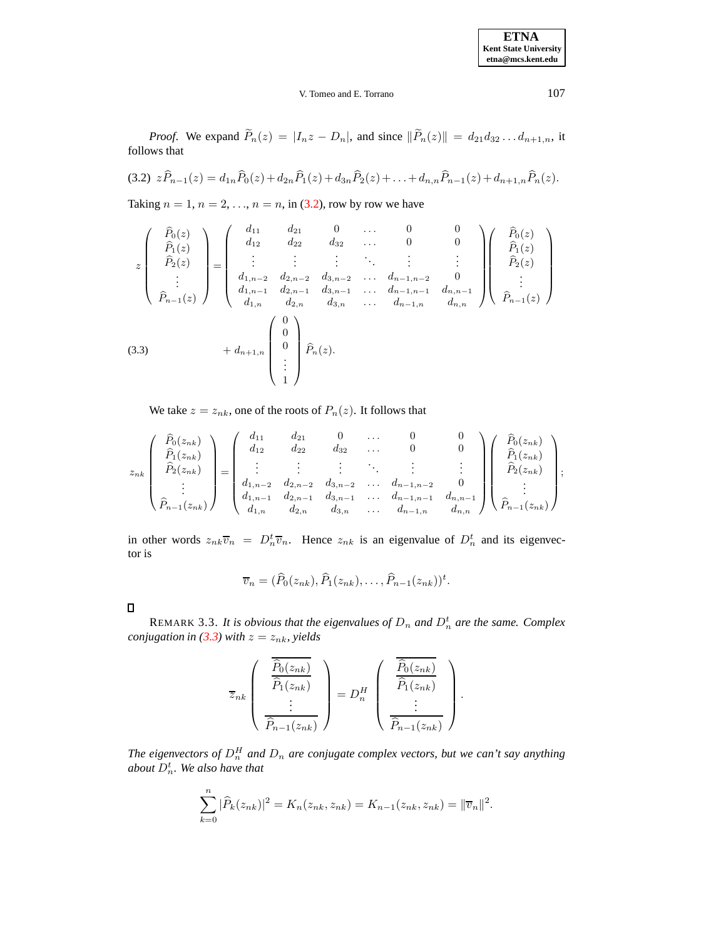# V. Tomeo and E. Torrano 107

<span id="page-2-0"></span>*Proof.* We expand  $\widetilde{P}_n(z) = |I_n z - D_n|$ , and since  $\|\widetilde{P}_n(z)\| = d_{21}d_{32} \dots d_{n+1,n}$ , it follows that

$$
(3.2) \ \ z\widehat{P}_{n-1}(z) = d_{1n}\widehat{P}_0(z) + d_{2n}\widehat{P}_1(z) + d_{3n}\widehat{P}_2(z) + \ldots + d_{n,n}\widehat{P}_{n-1}(z) + d_{n+1,n}\widehat{P}_n(z).
$$

Taking  $n = 1$ ,  $n = 2, \ldots, n = n$ , in [\(3.2\)](#page-2-0), row by row we have

<span id="page-2-1"></span>
$$
z\begin{pmatrix} \hat{P}_0(z) \\ \hat{P}_1(z) \\ \hat{P}_2(z) \\ \vdots \\ \hat{P}_{n-1}(z) \end{pmatrix} = \begin{pmatrix} d_{11} & d_{21} & 0 & \dots & 0 & 0 \\ d_{12} & d_{22} & d_{32} & \dots & 0 & 0 \\ \vdots & \vdots & \vdots & \ddots & \vdots & \vdots \\ d_{1,n-2} & d_{2,n-2} & d_{3,n-2} & \dots & d_{n-1,n-2} & 0 \\ d_{1,n-1} & d_{2,n-1} & d_{3,n-1} & \dots & d_{n-1,n-1} & d_{n,n-1} \\ d_{1,n} & d_{2,n} & d_{3,n} & \dots & d_{n-1,n} & d_{n,n} \end{pmatrix} \begin{pmatrix} \hat{P}_0(z) \\ \hat{P}_1(z) \\ \hat{P}_2(z) \\ \vdots \\ \hat{P}_{n-1}(z) \end{pmatrix}
$$
\n(3.3) 
$$
+ d_{n+1,n} \begin{pmatrix} 0 \\ 0 \\ 0 \\ \vdots \\ 1 \end{pmatrix} \hat{P}_n(z).
$$

We take  $z = z_{nk}$ , one of the roots of  $P_n(z)$ . It follows that

$$
z_{nk}\begin{pmatrix} \hat{P}_0(z_{nk}) \\ \hat{P}_1(z_{nk}) \\ \hat{P}_2(z_{nk}) \\ \vdots \\ \hat{P}_{n-1}(z_{nk}) \end{pmatrix} = \begin{pmatrix} d_{11} & d_{21} & 0 & \dots & 0 & 0 \\ d_{12} & d_{22} & d_{32} & \dots & 0 & 0 \\ \vdots & \vdots & \vdots & \ddots & \vdots & \vdots \\ d_{1,n-2} & d_{2,n-2} & d_{3,n-2} & \dots & d_{n-1,n-2} & 0 \\ d_{1,n-1} & d_{2,n-1} & d_{3,n-1} & \dots & d_{n-1,n-1} & d_{n,n-1} \\ d_{1,n} & d_{2,n} & d_{3,n} & \dots & d_{n-1,n} & d_{n,n} \end{pmatrix} \begin{pmatrix} \hat{P}_0(z_{nk}) \\ \hat{P}_1(z_{nk}) \\ \hat{P}_2(z_{nk}) \\ \vdots \\ \hat{P}_{n-1}(z_{nk}) \end{pmatrix};
$$

in other words  $z_{nk}\overline{v}_n = D_n^t \overline{v}_n$ . Hence  $z_{nk}$  is an eigenvalue of  $D_n^t$  and its eigenvector is

$$
\overline{v}_n = (\widehat{P}_0(z_{nk}), \widehat{P}_1(z_{nk}), \ldots, \widehat{P}_{n-1}(z_{nk}))^t.
$$

 $\Box$ 

REMARK 3.3. It is obvious that the eigenvalues of  $D_n$  and  $D_n^t$  are the same. Complex *conjugation in* [\(3.3\)](#page-2-1) *with*  $z = z_{nk}$ *, yields* 

$$
\overline{z}_{nk}\left(\begin{array}{c}\n\overline{\widehat{P}_0(z_{nk})}\n\\\overline{\widehat{P}_1(z_{nk})}\n\\\vdots\n\\\overline{\widehat{P}_{n-1}(z_{nk})}\n\end{array}\right) = D_n^H \left(\begin{array}{c}\n\overline{\widehat{P}_0(z_{nk})}\n\\\overline{\widehat{P}_1(z_{nk})}\n\\\vdots\n\\\overline{\widehat{P}_{n-1}(z_{nk})}\n\end{array}\right).
$$

*The eigenvectors of*  $D_n^H$  *and*  $D_n$  *are conjugate complex vectors, but we can't say anything*  $a$ *bout*  $D_n^t$ *. We also have that* 

$$
\sum_{k=0}^{n} |\widehat{P}_k(z_{nk})|^2 = K_n(z_{nk}, z_{nk}) = K_{n-1}(z_{nk}, z_{nk}) = ||\overline{v}_n||^2.
$$

**ETNA Kent State University etna@mcs.kent.edu**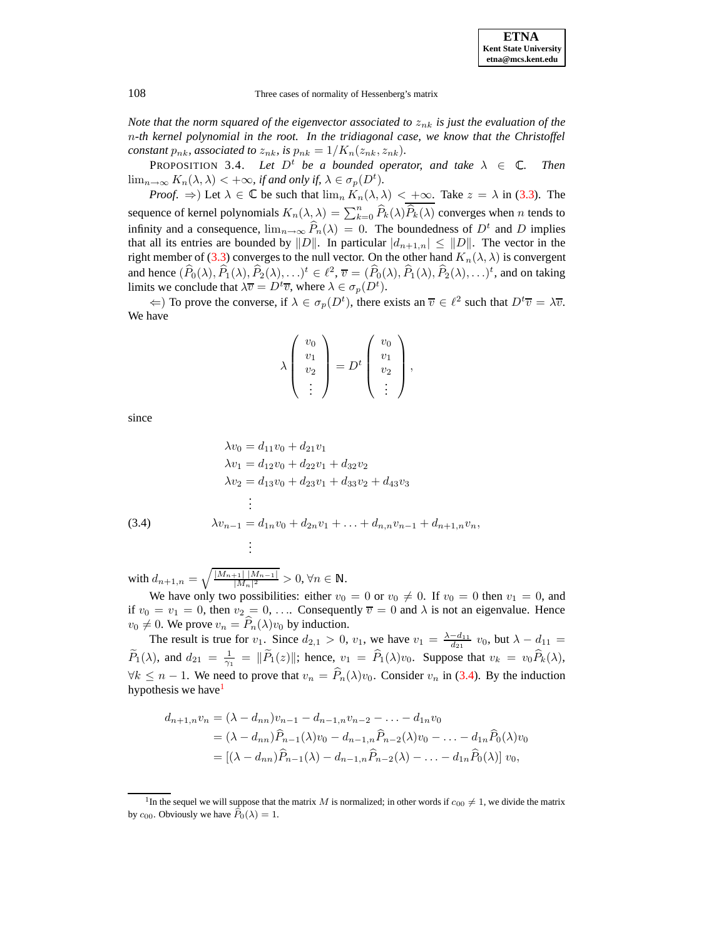108 Three cases of normality of Hessenberg's matrix

*Note that the norm squared of the eigenvector associated to*  $z_{nk}$  *is just the evaluation of the* n*-th kernel polynomial in the root. In the tridiagonal case, we know that the Christoffel constant*  $p_{nk}$ *, associated to*  $z_{nk}$ *, is*  $p_{nk} = 1/K_n(z_{nk}, z_{nk})$ *.* 

<span id="page-3-2"></span>PROPOSITION 3.4. Let  $D^t$  be a bounded operator, and take  $\lambda \in \mathbb{C}$ . *. Then*  $\lim_{n\to\infty} K_n(\lambda, \lambda) < +\infty$ , *if and only if,*  $\lambda \in \sigma_p(D^t)$ .

*Proof.*  $\Rightarrow$ ) Let  $\lambda \in \mathbb{C}$  be such that  $\lim_{n} K_n(\lambda, \lambda) < +\infty$ . Take  $z = \lambda$  in [\(3.3\)](#page-2-1). The sequence of kernel polynomials  $K_n(\lambda, \lambda) = \sum_{k=0}^n \widehat{P}_k(\lambda) \widehat{P}_k(\lambda)$  converges when n tends to infinity and a consequence,  $\lim_{n\to\infty} P_n(\lambda) = 0$ . The boundedness of  $D^t$  and D implies that all its entries are bounded by  $||D||$ . In particular  $|d_{n+1,n}| \leq ||D||$ . The vector in the right member of [\(3.3\)](#page-2-1) converges to the null vector. On the other hand  $K_n(\lambda, \lambda)$  is convergent and hence  $(\widehat{P}_0(\lambda), \widehat{P}_1(\lambda), \widehat{P}_2(\lambda), \ldots)^t \in \ell^2$ ,  $\overline{v} = (\widehat{P}_0(\lambda), \widehat{P}_1(\lambda), \widehat{P}_2(\lambda), \ldots)^t$ , and on taking limits we conclude that  $\lambda \overline{v} = D^t \overline{v}$ , where  $\lambda \in \sigma_p(D^t)$ .

 $\Leftarrow$ ) To prove the converse, if  $\lambda \in \sigma_p(D^t)$ , there exists an  $\overline{v} \in \ell^2$  such that  $D^t \overline{v} = \lambda \overline{v}$ . We have

$$
\lambda \begin{pmatrix} v_0 \\ v_1 \\ v_2 \\ \vdots \end{pmatrix} = D^t \begin{pmatrix} v_0 \\ v_1 \\ v_2 \\ \vdots \end{pmatrix},
$$

since

<span id="page-3-0"></span>
$$
\lambda v_0 = d_{11}v_0 + d_{21}v_1
$$
\n
$$
\lambda v_1 = d_{12}v_0 + d_{22}v_1 + d_{32}v_2
$$
\n
$$
\lambda v_2 = d_{13}v_0 + d_{23}v_1 + d_{33}v_2 + d_{43}v_3
$$
\n
$$
\vdots
$$
\n(3.4)\n
$$
\lambda v_{n-1} = d_{1n}v_0 + d_{2n}v_1 + \ldots + d_{n,n}v_{n-1} + d_{n+1,n}v_n,
$$
\n
$$
\vdots
$$

with  $d_{n+1,n} = \sqrt{\frac{|M_{n+1}| |M_{n-1}|}{|M_n|^2}}$  $\frac{|+1|+|M_{n-1}|}{|M_n|^2} > 0, \forall n \in$ .

We have only two possibilities: either  $v_0 = 0$  or  $v_0 \neq 0$ . If  $v_0 = 0$  then  $v_1 = 0$ , and if  $v_0 = v_1 = 0$ , then  $v_2 = 0, \ldots$  Consequently  $\overline{v} = 0$  and  $\lambda$  is not an eigenvalue. Hence  $v_0 \neq 0$ . We prove  $v_n = \widehat{P}_n(\lambda)v_0$  by induction.

The result is true for  $v_1$ . Since  $d_{2,1} > 0$ ,  $v_1$ , we have  $v_1 = \frac{\lambda - d_{11}}{d_{21}} v_0$ , but  $\lambda - d_{11} =$  $\widetilde{P}_1(\lambda)$ , and  $d_{21} = \frac{1}{\gamma_1} = ||\widetilde{P}_1(z)||$ ; hence,  $v_1 = \widehat{P}_1(\lambda)v_0$ . Suppose that  $v_k = v_0\widehat{P}_k(\lambda)$ ,  $\forall k \leq n-1$ . We need to prove that  $v_n = \hat{P}_n(\lambda)v_0$ . Consider  $v_n$  in [\(3.4\)](#page-3-0). By the induction hypothesis we have<sup>[1](#page-3-1)</sup>

$$
d_{n+1,n}v_n = (\lambda - d_{nn})v_{n-1} - d_{n-1,n}v_{n-2} - \dots - d_{1n}v_0
$$
  
=  $(\lambda - d_{nn})\widehat{P}_{n-1}(\lambda)v_0 - d_{n-1,n}\widehat{P}_{n-2}(\lambda)v_0 - \dots - d_{1n}\widehat{P}_0(\lambda)v_0$   
=  $[(\lambda - d_{nn})\widehat{P}_{n-1}(\lambda) - d_{n-1,n}\widehat{P}_{n-2}(\lambda) - \dots - d_{1n}\widehat{P}_0(\lambda)]v_0,$ 

<span id="page-3-1"></span><sup>&</sup>lt;sup>1</sup>In the sequel we will suppose that the matrix M is normalized; in other words if  $c_{00} \neq 1$ , we divide the matrix by  $c_{00}$ . Obviously we have  $\widehat{P}_0(\lambda) = 1$ .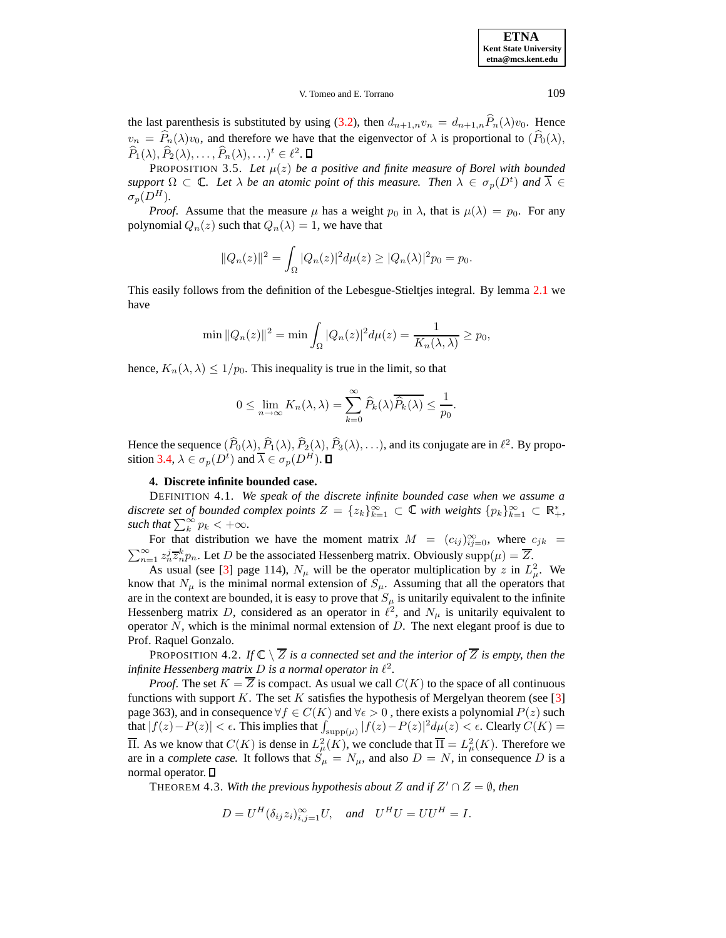**ETNA Kent State University etna@mcs.kent.edu**

#### V. Tomeo and E. Torrano 109

the last parenthesis is substituted by using [\(3.2\)](#page-2-0), then  $d_{n+1,n}v_n = d_{n+1,n}\hat{P}_n(\lambda)v_0$ . Hence  $v_n = \hat{P}_n(\lambda)v_0$ , and therefore we have that the eigenvector of  $\lambda$  is proportional to  $(\hat{P}_0(\lambda),\)$  $\widehat{P}_1(\lambda), \widehat{P}_2(\lambda), \ldots, \widehat{P}_n(\lambda), \ldots)^t \in \ell^2.$ 

PROPOSITION 3.5. Let  $\mu(z)$  be a positive and finite measure of Borel with bounded  $support \Omega \subset \mathbb{C}$ . Let  $\lambda$  be an atomic point of this measure. Then  $\lambda \in \sigma_p(D^t)$  and  $\overline{\lambda} \in$  $\sigma_p(D^H)$ .

*Proof.* Assume that the measure  $\mu$  has a weight  $p_0$  in  $\lambda$ , that is  $\mu(\lambda) = p_0$ . For any polynomial  $Q_n(z)$  such that  $Q_n(\lambda) = 1$ , we have that

$$
||Q_n(z)||^2 = \int_{\Omega} |Q_n(z)|^2 d\mu(z) \ge |Q_n(\lambda)|^2 p_0 = p_0.
$$

This easily follows from the definition of the Lebesgue-Stieltjes integral. By lemma [2.1](#page-0-0) we have

$$
\min ||Q_n(z)||^2 = \min \int_{\Omega} |Q_n(z)|^2 d\mu(z) = \frac{1}{K_n(\lambda, \lambda)} \ge p_0,
$$

hence,  $K_n(\lambda, \lambda) \leq 1/p_0$ . This inequality is true in the limit, so that

$$
0 \leq \lim_{n \to \infty} K_n(\lambda, \lambda) = \sum_{k=0}^{\infty} \widehat{P}_k(\lambda) \overline{\widehat{P}_k(\lambda)} \leq \frac{1}{p_0}.
$$

Hence the sequence  $(P_0(\lambda), P_1(\lambda), P_2(\lambda), P_3(\lambda), \ldots)$ , and its conjugate are in  $\ell^2$ . By propo-sition [3.4,](#page-3-2)  $\lambda \in \sigma_p(D^t)$  and  $\overline{\lambda} \in \sigma_p(D^H)$ .

#### **4. Discrete infinite bounded case.**

DEFINITION 4.1. *We speak of the discrete infinite bounded case when we assume a discrete set of bounded complex points*  $Z = \{z_k\}_{k=1}^{\infty} \subset \mathbb{C}$  *with weights*  $\{p_k\}_{k=1}^{\infty} \subset \mathbb{R}_+^*$ , *such that*  $\sum_{k}^{\infty} p_k < +\infty$ *.* 

For that distribution we have the moment matrix  $M = (c_{ij})_{ij=0}^{\infty}$ , where  $c_{jk} = \sum_{i=1}^{\infty} z_i^j \overline{z}_i^k p_i$ . Let D be the associated Hessenberg matrix. Obviously supp $(u) = \overline{Z}$ .  $\sum_{n=1}^{\infty} z_n^j \overline{z}_n^k p_n$ . Let D be the associated Hessenberg matrix. Obviously  $\text{supp}(\mu) = \overline{Z}$ .

As usual (see [\[3\]](#page-7-8) page 114),  $N_{\mu}$  will be the operator multiplication by z in  $L^2_{\mu}$ . We know that  $N_{\mu}$  is the minimal normal extension of  $S_{\mu}$ . Assuming that all the operators that are in the context are bounded, it is easy to prove that  $S_{\mu}$  is unitarily equivalent to the infinite Hessenberg matrix D, considered as an operator in  $\ell^2$ , and  $N_\mu$  is unitarily equivalent to operator  $N$ , which is the minimal normal extension of  $D$ . The next elegant proof is due to Prof. Raquel Gonzalo.

PROPOSITION 4.2. If  $\mathbb{C} \setminus Z$  *is a connected set and the interior of* Z *is empty, then the infinite* Hessenberg matrix D is a normal operator in  $\ell^2$ .

*Proof.* The set  $K = \overline{Z}$  is compact. As usual we call  $C(K)$  to the space of all continuous functions with support K. The set K satisfies the hypothesis of Mergelyan theorem (see  $[3]$ page 363), and in consequence  $\forall f \in C(K)$  and  $\forall \epsilon > 0$ , there exists a polynomial  $P(z)$  such that  $|f(z)-P(z)| < \epsilon$ . This implies that  $\int_{\text{supp}(\mu)} |f(z)-P(z)|^2 d\mu(z) < \epsilon$ . Clearly  $C(K) =$  $\overline{\Pi}$ . As we know that  $C(K)$  is dense in  $L^2_{\mu}(K)$ , we conclude that  $\overline{\Pi} = L^2_{\mu}(K)$ . Therefore we are in a complete case. It follows that  $S_{\mu} = N_{\mu}$ , and also  $D = N$ , in consequence D is a normal operator.

THEOREM 4.3. *With the previous hypothesis about*  $Z$  *and if*  $Z' \cap Z = \emptyset$ *, then* 

$$
D = U^H(\delta_{ij} z_i)_{i,j=1}^{\infty} U, \quad \text{and} \quad U^H U = U U^H = I.
$$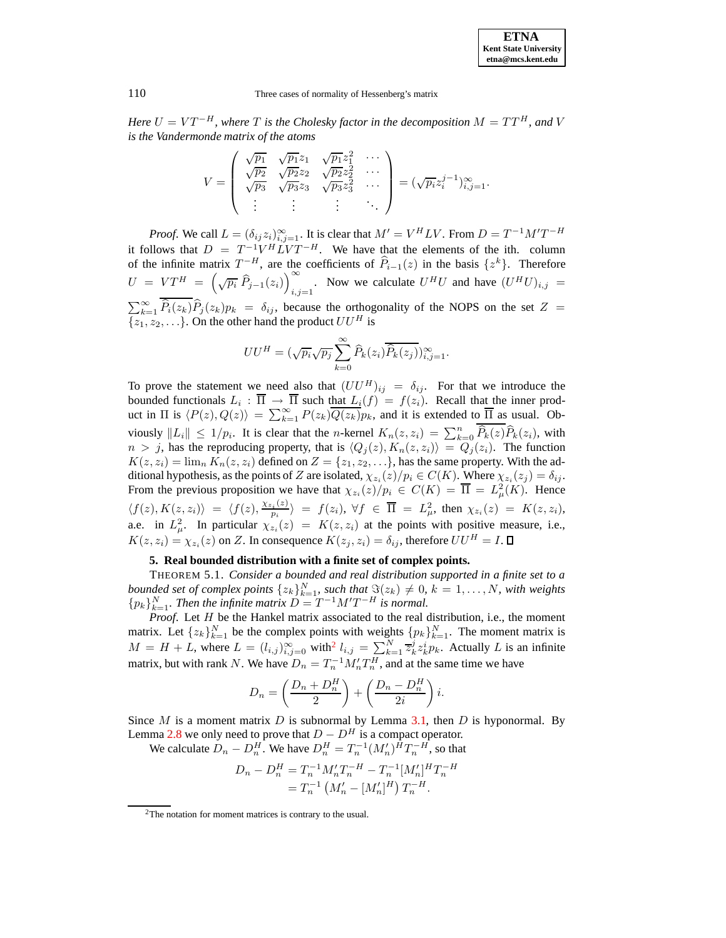#### 110 Three cases of normality of Hessenberg's matrix

*Here*  $U = VT^{-H}$ , where  $T$  is the Cholesky factor in the decomposition  $M = TT^{H}$ , and V *is the Vandermonde matrix of the atoms*

$$
V = \begin{pmatrix} \sqrt{p_1} & \sqrt{p_1} z_1 & \sqrt{p_1} z_1^2 & \cdots \\ \sqrt{p_2} & \sqrt{p_2} z_2 & \sqrt{p_2} z_2^2 & \cdots \\ \sqrt{p_3} & \sqrt{p_3} z_3 & \sqrt{p_3} z_3^2 & \cdots \\ \vdots & \vdots & \vdots & \ddots \end{pmatrix} = (\sqrt{p_i} z_i^{j-1})_{i,j=1}^{\infty}.
$$

*Proof.* We call  $L = (\delta_{ij} z_i)_{i,j=1}^{\infty}$ . It is clear that  $M' = V^H L V$ . From  $D = T^{-1} M' T^{-H}$ it follows that  $D = T^{-1}V^H L V T^{-H}$ . We have that the elements of the ith. column of the infinite matrix  $T^{-H}$ , are the coefficients of  $\hat{P}_{i-1}(z)$  in the basis  $\{z^k\}$ . Therefore  $U = VT^H = \left(\sqrt{p_i} \,\widehat{P}_{j-1}(z_i)\right)_{i,i}^{\infty}$  $\sum_{i,j=1}^{U}$ . Now we calculate  $U^H U$  and have  $(U^H U)_{i,j} =$  $\sum_{k=1}^{\infty} \hat{P}_i(z_k)\hat{P}_j(z_k)p_k = \delta_{ij}$ , because the orthogonality of the NOPS on the set  $Z =$  $\{z_1, z_2, \ldots\}$ . On the other hand the product  $UU^H$  is

$$
UU^H = (\sqrt{p_i}\sqrt{p_j}\sum_{k=0}^{\infty} \widehat{P}_k(z_i)\overline{\widehat{P}_k(z_j)})_{i,j=1}^{\infty}.
$$

To prove the statement we need also that  $(UU^H)_{ij} = \delta_{ij}$ . For that we introduce the bounded functionals  $L_i : \Pi \to \Pi$  such that  $L_i(f) = f(z_i)$ . Recall that the inner product in  $\Pi$  is  $\langle P(z), Q(z)\rangle = \sum_{k=1}^{\infty} P(z_k) \overline{Q(z_k)} p_k$ , and it is extended to  $\overline{\Pi}$  as usual. Obviously  $||L_i|| \le 1/p_i$ . It is clear that the *n*-kernel  $K_n(z, z_i) = \sum_{k=0}^n \widehat{P}_k(z) \widehat{P}_k(z_i)$ , with  $n > j$ , has the reproducing property, that is  $\langle Q_j(z), K_n(z, z_i) \rangle = Q_j(z_i)$ . The function  $K(z, z_i) = \lim_{n \to \infty} K_n(z, z_i)$  defined on  $Z = \{z_1, z_2, \ldots\}$ , has the same property. With the additional hypothesis, as the points of Z are isolated,  $\chi_{z_i}(z)/p_i \in C(K)$ . Where  $\chi_{z_i}(z_j) = \delta_{ij}$ . From the previous proposition we have that  $\chi_{z_i}(z)/p_i \in C(K) = \overline{\Pi} = L^2_{\mu}(K)$ . Hence  $\langle f(z), K(z, z_i) \rangle = \langle f(z), \frac{\chi_{z_i}(z)}{p_i} \rangle$  $\langle \psi^{(z)}_{p_i} \rangle = f(z_i), \ \forall f \in \overline{\Pi} = L^2_\mu, \text{ then } \chi_{z_i}(z) = K(z, z_i),$ a.e. in  $L^2_{\mu}$ . In particular  $\chi_{z_i}(z) = K(z, z_i)$  at the points with positive measure, i.e.,  $K(z, z_i) = \chi_{z_i}(z)$  on Z. In consequence  $K(z_j, z_i) = \delta_{ij}$ , therefore  $UU^H = I$ .

### **5. Real bounded distribution with a finite set of complex points.**

<span id="page-5-1"></span>THEOREM 5.1. *Consider a bounded and real distribution supported in a finite set to a bounded set of complex points*  $\{z_k\}_{k=1}^N$ , *such that*  $\Im(z_k) \neq 0$ ,  $k = 1, \ldots, N$ , *with weights*  ${p_k}_{k=1}^N$ . *Then the infinite matrix*  $D = T^{-1}M'T^{-H}$  *is normal.* 

*Proof.* Let H be the Hankel matrix associated to the real distribution, i.e., the moment matrix. Let  $\{z_k\}_{k=1}^N$  be the complex points with weights  $\{p_k\}_{k=1}^N$ . The moment matrix is  $M = H + L$ , where  $L = (l_{i,j})_{i,j=0}^{\infty}$  with  $l_{i,j} = \sum_{k=1}^{N} \overline{z}_{k}^{j} z_{k}^{i} p_{k}$ . Actually L is an infinite matrix, but with rank N. We have  $D_n = T_n^{-1} M_n' T_n^H$ , and at the same time we have

$$
D_n = \left(\frac{D_n + D_n^H}{2}\right) + \left(\frac{D_n - D_n^H}{2i}\right)i.
$$

Since M is a moment matrix D is subnormal by Lemma [3.1,](#page-1-0) then D is hyponormal. By Lemma [2.8](#page-1-1) we only need to prove that  $D - D<sup>H</sup>$  is a compact operator.

We calculate  $D_n - D_n^H$ . We have  $D_n^H = T_n^{-1} (M_n')^H T_n^{-H}$ , so that

$$
D_n - D_n^H = T_n^{-1} M_n' T_n^{-H} - T_n^{-1} [M_n']^H T_n^{-H}
$$
  
=  $T_n^{-1} (M_n' - [M_n']^H) T_n^{-H}$ .

<span id="page-5-0"></span><sup>2</sup>The notation for moment matrices is contrary to the usual.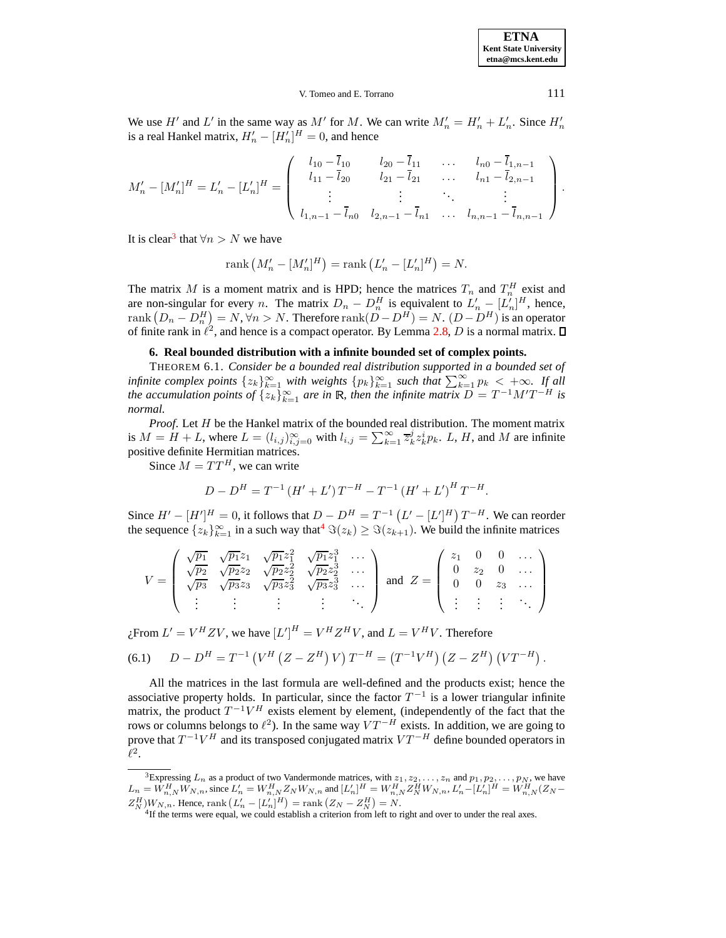**ETNA Kent State University etna@mcs.kent.edu**

#### V. Tomeo and E. Torrano 1111

We use H' and L' in the same way as M' for M. We can write  $M'_n = H'_n + L'_n$ . Since  $H'_n$ is a real Hankel matrix,  $H'_n - [H'_n]^H = 0$ , and hence

$$
M'_{n} - [M'_{n}]^{H} = L'_{n} - [L'_{n}]^{H} = \begin{pmatrix} l_{10} - \bar{l}_{10} & l_{20} - \bar{l}_{11} & \dots & l_{n0} - \bar{l}_{1,n-1} \\ l_{11} - \bar{l}_{20} & l_{21} - \bar{l}_{21} & \dots & l_{n1} - \bar{l}_{2,n-1} \\ \vdots & \vdots & \ddots & \vdots \\ l_{1,n-1} - \bar{l}_{n0} & l_{2,n-1} - \bar{l}_{n1} & \dots & l_{n,n-1} - \bar{l}_{n,n-1} \end{pmatrix}.
$$

It is clear<sup>[3](#page-6-0)</sup> that  $\forall n > N$  we have

<span id="page-6-3"></span>rank 
$$
(M'_n - [M'_n]^H)
$$
 = rank  $(L'_n - [L'_n]^H)$  = N.

The matrix M is a moment matrix and is HPD; hence the matrices  $T_n$  and  $T_n^H$  exist and are non-singular for every *n*. The matrix  $D_n - D_n^H$  is equivalent to  $L'_n - [L'_n]^H$ , hence, rank  $(D_n - D_n^H) = N$ ,  $\forall n > N$ . Therefore rank $(D - D^H) = N$ .  $(D - D^H)$  is an operator of finite rank in  $\ell^2$ , and hence is a compact operator. By Lemma [2.8,](#page-1-1) D is a normal matrix.

## **6. Real bounded distribution with a infinite bounded set of complex points.**

THEOREM 6.1. *Consider be a bounded real distribution supported in a bounded set of infinite complex points*  $\{z_k\}_{k=1}^{\infty}$  *with weights*  $\{p_k\}_{k=1}^{\infty}$  *such that*  $\sum_{k=1}^{\infty} p_k < +\infty$ *. If all the* accumulation points of  $\{z_k\}_{k=1}^{\infty}$  are in R, then the infinite matrix  $D = T^{-1}M'T^{-H}$  is *normal.*

*Proof.* Let H be the Hankel matrix of the bounded real distribution. The moment matrix is  $M = H + L$ , where  $L = (l_{i,j})_{i,j=0}^{\infty}$  with  $l_{i,j} = \sum_{k=1}^{\infty} \overline{z}_{k}^{j} \overline{z}_{k}^{i} p_{k}$ . L, H, and M are infinite positive definite Hermitian matrices.

Since  $M = TT^H$ , we can write

<span id="page-6-2"></span>
$$
D - D^{H} = T^{-1} (H' + L') T^{-H} - T^{-1} (H' + L')^{H} T^{-H}.
$$

Since  $H' - [H']^H = 0$ , it follows that  $D - D^H = T^{-1} (L' - [L']^H) T^{-H}$ . We can reorder the sequence  $\{z_k\}_{k=1}^{\infty}$  in a such way that<sup>[4](#page-6-1)</sup>  $\Im(z_k) \geq \Im(z_{k+1})$ . We build the infinite matrices

$$
V = \begin{pmatrix} \sqrt{p_1} & \sqrt{p_1}z_1 & \sqrt{p_1}z_1^2 & \sqrt{p_1}z_1^3 & \cdots \\ \sqrt{p_2} & \sqrt{p_2}z_2 & \sqrt{p_2}z_2^2 & \sqrt{p_2}z_2^3 & \cdots \\ \sqrt{p_3} & \sqrt{p_3}z_3 & \sqrt{p_3}z_3^2 & \sqrt{p_3}z_3^3 & \cdots \\ \vdots & \vdots & \vdots & \vdots & \ddots \end{pmatrix} \text{ and } Z = \begin{pmatrix} z_1 & 0 & 0 & \cdots \\ 0 & z_2 & 0 & \cdots \\ 0 & 0 & z_3 & \cdots \\ \vdots & \vdots & \vdots & \ddots \end{pmatrix}
$$

¿From  $L' = V^H Z V$ , we have  $[L']^H = V^H Z^H V$ , and  $L = V^H V$ . Therefore

(6.1) 
$$
D - D^{H} = T^{-1} (V^{H} (Z - Z^{H}) V) T^{-H} = (T^{-1} V^{H}) (Z - Z^{H}) (V T^{-H}).
$$

All the matrices in the last formula are well-defined and the products exist; hence the associative property holds. In particular, since the factor  $T^{-1}$  is a lower triangular infinite matrix, the product  $T^{-1}V^H$  exists element by element, (independently of the fact that the rows or columns belongs to  $\ell^2$ ). In the same way  $VT^{-H}$  exists. In addition, we are going to prove that  $T^{-1}V^H$  and its transposed conjugated matrix  $VT^{-H}$  define bounded operators in  $\ell^2.$ 

<span id="page-6-1"></span><span id="page-6-0"></span><sup>&</sup>lt;sup>3</sup>Expressing  $L_n$  as a product of two Vandermonde matrices, with  $z_1, z_2, \ldots, z_n$  and  $p_1, p_2, \ldots, p_N$ , we have  $L_n = W_{n,N}^H W_{N,n}$ , since  $L'_n = W_{n,N}^H Z_N W_{N,n}$  and  $[L'_n]^H = W_{n,N}^H Z_N^H W_{N,n}$ ,  $L'_n - [L'_n]^H = W_{n,N}^H (Z_N - E_N)^H Z_N W_{N,n}$  $Z_N^H$ ) $W_{N,n}$ . Hence, rank  $(L'_n - [L'_n]^H) = \text{rank} (Z_N - Z_N^H) = N$ .

<sup>4</sup> If the terms were equal, we could establish a criterion from left to right and over to under the real axes.